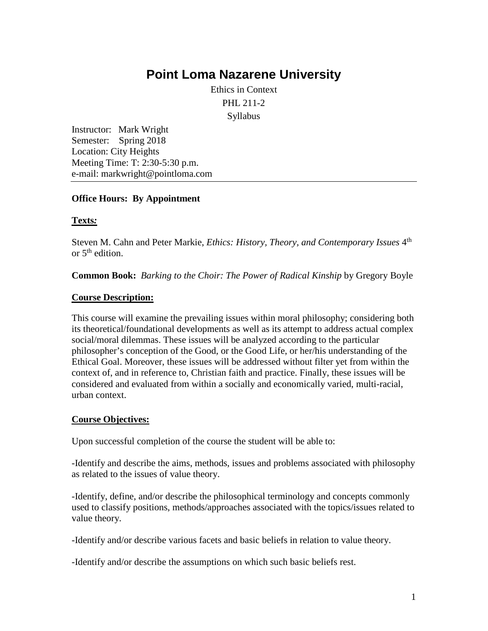# **Point Loma [Nazarene](http://www.pointloma.edu/) University**

Ethics in Context PHL 211-2 Syllabus

Instructor: Mark Wright Semester: Spring 2018 Location: City Heights Meeting Time: T: 2:30-5:30 p.m. e-mail: markwright@pointloma.com

#### **Office Hours: By Appointment**

#### **Texts***:*

Steven M. Cahn and Peter Markie, *Ethics: History, Theory, and Contemporary Issues* 4th or  $5<sup>th</sup>$  edition.

**Common Book:** *Barking to the Choir: The Power of Radical Kinship* by Gregory Boyle

#### **Course Description:**

This course will examine the prevailing issues within moral philosophy; considering both its theoretical/foundational developments as well as its attempt to address actual complex social/moral dilemmas. These issues will be analyzed according to the particular philosopher's conception of the Good, or the Good Life, or her/his understanding of the Ethical Goal. Moreover, these issues will be addressed without filter yet from within the context of, and in reference to, Christian faith and practice. Finally, these issues will be considered and evaluated from within a socially and economically varied, multi-racial, urban context.

# **Course Objectives:**

Upon successful completion of the course the student will be able to:

-Identify and describe the aims, methods, issues and problems associated with philosophy as related to the issues of value theory.

-Identify, define, and/or describe the philosophical terminology and concepts commonly used to classify positions, methods/approaches associated with the topics/issues related to value theory.

-Identify and/or describe various facets and basic beliefs in relation to value theory.

-Identify and/or describe the assumptions on which such basic beliefs rest.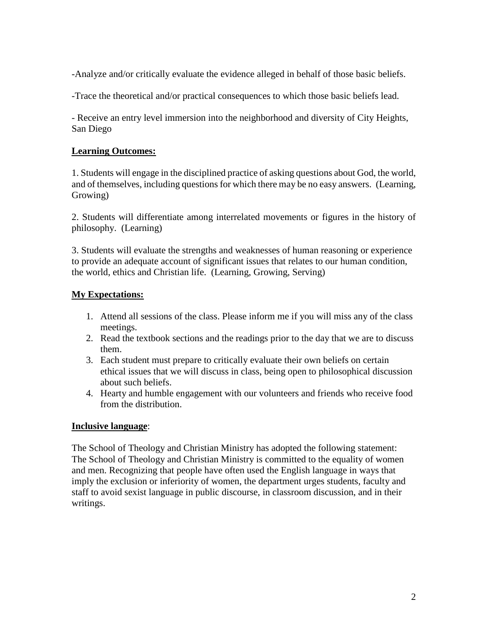-Analyze and/or critically evaluate the evidence alleged in behalf of those basic beliefs.

-Trace the theoretical and/or practical consequences to which those basic beliefs lead.

- Receive an entry level immersion into the neighborhood and diversity of City Heights, San Diego

### **Learning Outcomes:**

1. Students will engage in the disciplined practice of asking questions about God, the world, and of themselves, including questions for which there may be no easy answers. (Learning, Growing)

2. Students will differentiate among interrelated movements or figures in the history of philosophy. (Learning)

3. Students will evaluate the strengths and weaknesses of human reasoning or experience to provide an adequate account of significant issues that relates to our human condition, the world, ethics and Christian life. (Learning, Growing, Serving)

# **My Expectations:**

- 1. Attend all sessions of the class. Please inform me if you will miss any of the class meetings.
- 2. Read the textbook sections and the readings prior to the day that we are to discuss them.
- 3. Each student must prepare to critically evaluate their own beliefs on certain ethical issues that we will discuss in class, being open to philosophical discussion about such beliefs.
- 4. Hearty and humble engagement with our volunteers and friends who receive food from the distribution.

#### **Inclusive language**:

The School of Theology and Christian Ministry has adopted the following statement: The School of Theology and Christian Ministry is committed to the equality of women and men. Recognizing that people have often used the English language in ways that imply the exclusion or inferiority of women, the department urges students, faculty and staff to avoid sexist language in public discourse, in classroom discussion, and in their writings.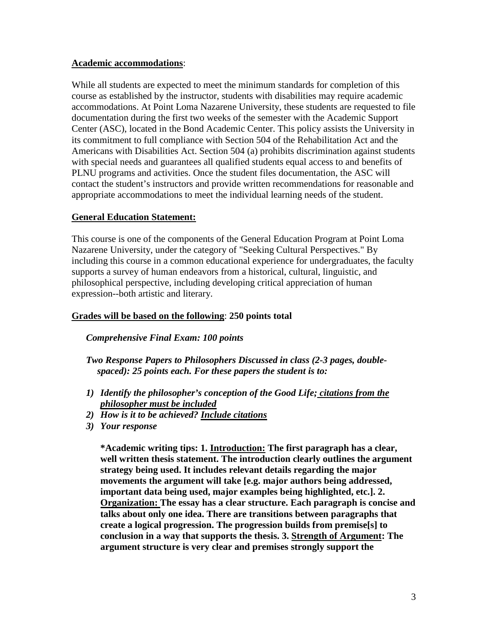#### **Academic accommodations**:

While all students are expected to meet the minimum standards for completion of this course as established by the instructor, students with disabilities may require academic accommodations. At Point Loma Nazarene University, these students are requested to file documentation during the first two weeks of the semester with the Academic Support Center (ASC), located in the Bond Academic Center. This policy assists the University in its commitment to full compliance with Section 504 of the Rehabilitation Act and the Americans with Disabilities Act. Section 504 (a) prohibits discrimination against students with special needs and guarantees all qualified students equal access to and benefits of PLNU programs and activities. Once the student files documentation, the ASC will contact the student's instructors and provide written recommendations for reasonable and appropriate accommodations to meet the individual learning needs of the student.

# **General Education Statement:**

This course is one of the components of the General Education Program at Point Loma Nazarene University, under the category of "Seeking Cultural Perspectives." By including this course in a common educational experience for undergraduates, the faculty supports a survey of human endeavors from a historical, cultural, linguistic, and philosophical perspective, including developing critical appreciation of human expression--both artistic and literary.

#### **Grades will be based on the following**: **250 points total**

*Comprehensive Final Exam: 100 points*

*Two Response Papers to Philosophers Discussed in class (2-3 pages, doublespaced): 25 points each. For these papers the student is to:*

- *1) Identify the philosopher's conception of the Good Life; citations from the philosopher must be included*
- *2) How is it to be achieved? Include citations*
- *3) Your response*

**\*Academic writing tips: 1. Introduction: The first paragraph has a clear, well written thesis statement. The introduction clearly outlines the argument strategy being used. It includes relevant details regarding the major movements the argument will take [e.g. major authors being addressed, important data being used, major examples being highlighted, etc.]. 2. Organization: The essay has a clear structure. Each paragraph is concise and talks about only one idea. There are transitions between paragraphs that create a logical progression. The progression builds from premise[s] to conclusion in a way that supports the thesis. 3. Strength of Argument: The argument structure is very clear and premises strongly support the**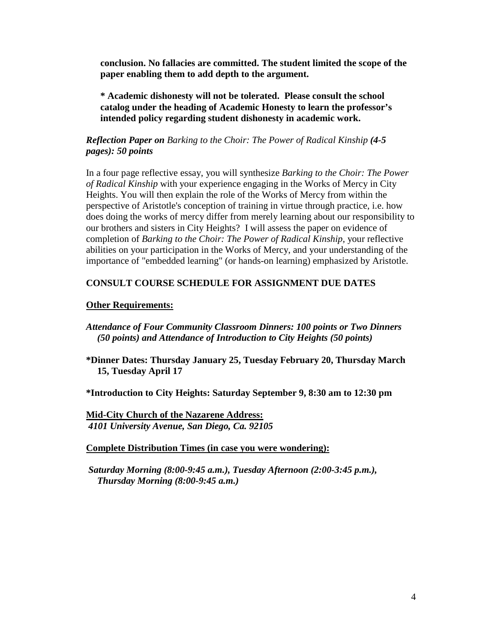**conclusion. No fallacies are committed. The student limited the scope of the paper enabling them to add depth to the argument.** 

**\* Academic dishonesty will not be tolerated. Please consult the school catalog under the heading of Academic Honesty to learn the professor's intended policy regarding student dishonesty in academic work.** 

*Reflection Paper on Barking to the Choir: The Power of Radical Kinship (4-5 pages): 50 points*

In a four page reflective essay, you will synthesize *Barking to the Choir: The Power of Radical Kinship* with your experience engaging in the Works of Mercy in City Heights. You will then explain the role of the Works of Mercy from within the perspective of Aristotle's conception of training in virtue through practice, i.e. how does doing the works of mercy differ from merely learning about our responsibility to our brothers and sisters in City Heights? I will assess the paper on evidence of completion of *Barking to the Choir: The Power of Radical Kinship,* your reflective abilities on your participation in the Works of Mercy, and your understanding of the importance of "embedded learning" (or hands-on learning) emphasized by Aristotle.

# **CONSULT COURSE SCHEDULE FOR ASSIGNMENT DUE DATES**

#### **Other Requirements:**

*Attendance of Four Community Classroom Dinners: 100 points or Two Dinners (50 points) and Attendance of Introduction to City Heights (50 points)*

**\*Dinner Dates: Thursday January 25, Tuesday February 20, Thursday March 15, Tuesday April 17**

**\*Introduction to City Heights: Saturday September 9, 8:30 am to 12:30 pm**

**Mid-City Church of the Nazarene Address:** *4101 University Avenue, San Diego, Ca. 92105*

#### **Complete Distribution Times (in case you were wondering):**

*Saturday Morning (8:00-9:45 a.m.), Tuesday Afternoon (2:00-3:45 p.m.), Thursday Morning (8:00-9:45 a.m.)*